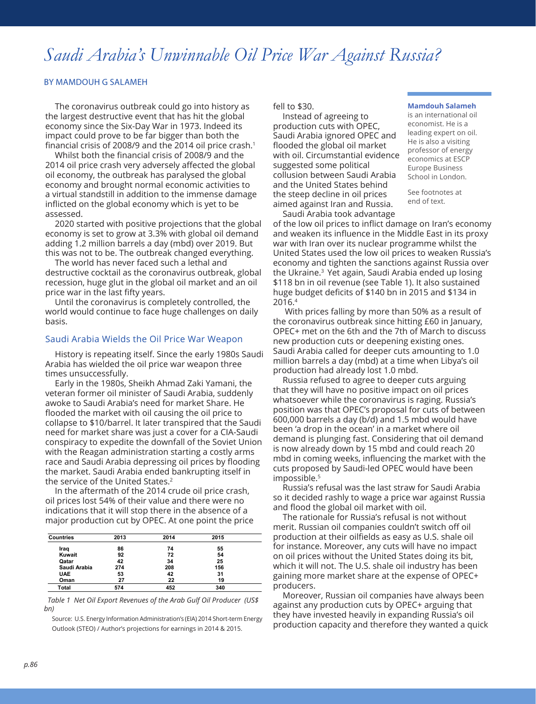# *Saudi Arabia's Unwinnable Oil Price War Against Russia?*

### BY MAMDOUH G SALAMEH

The coronavirus outbreak could go into history as the largest destructive event that has hit the global economy since the Six-Day War in 1973. Indeed its impact could prove to be far bigger than both the financial crisis of 2008/9 and the 2014 oil price crash.<sup>1</sup>

Whilst both the financial crisis of 2008/9 and the 2014 oil price crash very adversely affected the global oil economy, the outbreak has paralysed the global economy and brought normal economic activities to a virtual standstill in addition to the immense damage inflicted on the global economy which is yet to be assessed.

2020 started with positive projections that the global economy is set to grow at 3.3% with global oil demand adding 1.2 million barrels a day (mbd) over 2019. But this was not to be. The outbreak changed everything.

The world has never faced such a lethal and destructive cocktail as the coronavirus outbreak, global recession, huge glut in the global oil market and an oil price war in the last fifty years.

Until the coronavirus is completely controlled, the world would continue to face huge challenges on daily basis.

#### Saudi Arabia Wields the Oil Price War Weapon

History is repeating itself. Since the early 1980s Saudi Arabia has wielded the oil price war weapon three times unsuccessfully.

Early in the 1980s, Sheikh Ahmad Zaki Yamani, the veteran former oil minister of Saudi Arabia, suddenly awoke to Saudi Arabia's need for market Share. He flooded the market with oil causing the oil price to collapse to \$10/barrel. It later transpired that the Saudi need for market share was just a cover for a CIA-Saudi conspiracy to expedite the downfall of the Soviet Union with the Reagan administration starting a costly arms race and Saudi Arabia depressing oil prices by flooding the market. Saudi Arabia ended bankrupting itself in the service of the United States.<sup>2</sup>

In the aftermath of the 2014 crude oil price crash, oil prices lost 54% of their value and there were no indications that it will stop there in the absence of a major production cut by OPEC. At one point the price

| <b>Countries</b> | 2013 | 2014 | 2015 |  |
|------------------|------|------|------|--|
| Iraq             | 86   | 74   | 55   |  |
| Kuwait           | 92   | 72   | 54   |  |
| Qatar            | 42   | 34   | 25   |  |
| Saudi Arabia     | 274  | 208  | 156  |  |
| <b>UAE</b>       | 53   | 42   | 31   |  |
| Oman             | 27   | 22   | 19   |  |
| Total            | 574  | 452  | 340  |  |

 *Table 1 Net Oil Export Revenues of the Arab Gulf Oil Producer (US\$ bn)*

Source: U.S. Energy Information Administration's (EIA) 2014 Short-term Energy Outlook (STEO) / Author's projections for earnings in 2014 & 2015.

fell to \$30.

Instead of agreeing to production cuts with OPEC, Saudi Arabia ignored OPEC and flooded the global oil market with oil. Circumstantial evidence suggested some political collusion between Saudi Arabia and the United States behind the steep decline in oil prices aimed against Iran and Russia. Saudi Arabia took advantage

#### **Mamdouh Salameh**

is an international oil economist. He is a leading expert on oil. He is also a visiting professor of energy economics at ESCP Europe Business School in London.

See footnotes at end of text.

of the low oil prices to inflict damage on Iran's economy and weaken its influence in the Middle East in its proxy war with Iran over its nuclear programme whilst the United States used the low oil prices to weaken Russia's economy and tighten the sanctions against Russia over the Ukraine.<sup>3</sup> Yet again, Saudi Arabia ended up losing \$118 bn in oil revenue (see Table 1). It also sustained huge budget deficits of \$140 bn in 2015 and \$134 in 2016.4

 With prices falling by more than 50% as a result of the coronavirus outbreak since hitting £60 in January, OPEC+ met on the 6th and the 7th of March to discuss new production cuts or deepening existing ones. Saudi Arabia called for deeper cuts amounting to 1.0 million barrels a day (mbd) at a time when Libya's oil production had already lost 1.0 mbd.

Russia refused to agree to deeper cuts arguing that they will have no positive impact on oil prices whatsoever while the coronavirus is raging. Russia's position was that OPEC's proposal for cuts of between 600,000 barrels a day (b/d) and 1.5 mbd would have been 'a drop in the ocean' in a market where oil demand is plunging fast. Considering that oil demand is now already down by 15 mbd and could reach 20 mbd in coming weeks, influencing the market with the cuts proposed by Saudi-led OPEC would have been impossible.<sup>5</sup>

Russia's refusal was the last straw for Saudi Arabia so it decided rashly to wage a price war against Russia and flood the global oil market with oil.

The rationale for Russia's refusal is not without merit. Russian oil companies couldn't switch off oil production at their oilfields as easy as U.S. shale oil for instance. Moreover, any cuts will have no impact on oil prices without the United States doing its bit, which it will not. The U.S. shale oil industry has been gaining more market share at the expense of OPEC+ producers.

Moreover, Russian oil companies have always been against any production cuts by OPEC+ arguing that they have invested heavily in expanding Russia's oil production capacity and therefore they wanted a quick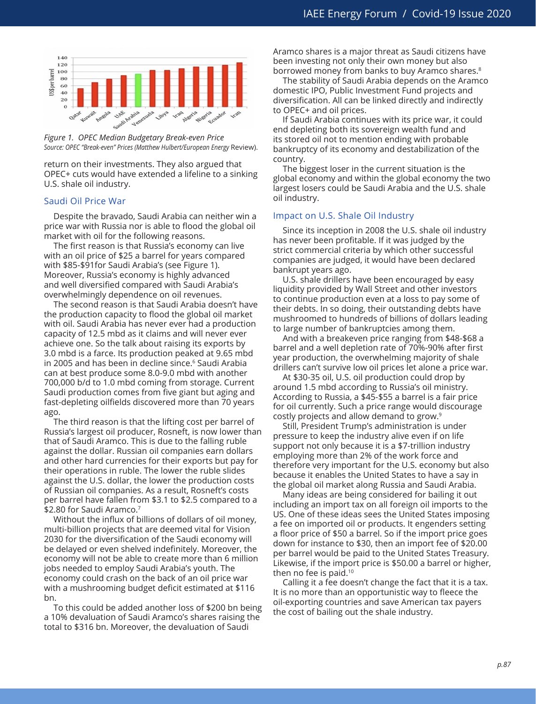

*Figure 1. OPEC Median Budgetary Break-even Price Source: OPEC "Break-even" Prices (Matthew Hulbert/European Energy* Review).

return on their investments. They also argued that OPEC+ cuts would have extended a lifeline to a sinking U.S. shale oil industry.

#### Saudi Oil Price War

Despite the bravado, Saudi Arabia can neither win a price war with Russia nor is able to flood the global oil market with oil for the following reasons.

The first reason is that Russia's economy can live with an oil price of \$25 a barrel for years compared with \$85-\$91for Saudi Arabia's (see Figure 1). Moreover, Russia's economy is highly advanced and well diversified compared with Saudi Arabia's overwhelmingly dependence on oil revenues.

The second reason is that Saudi Arabia doesn't have the production capacity to flood the global oil market with oil. Saudi Arabia has never ever had a production capacity of 12.5 mbd as it claims and will never ever achieve one. So the talk about raising its exports by 3.0 mbd is a farce. Its production peaked at 9.65 mbd in 2005 and has been in decline since.<sup>6</sup> Saudi Arabia can at best produce some 8.0-9.0 mbd with another 700,000 b/d to 1.0 mbd coming from storage. Current Saudi production comes from five giant but aging and fast-depleting oilfields discovered more than 70 years ago.

The third reason is that the lifting cost per barrel of Russia's largest oil producer, Rosneft, is now lower than that of Saudi Aramco. This is due to the falling ruble against the dollar. Russian oil companies earn dollars and other hard currencies for their exports but pay for their operations in ruble. The lower the ruble slides against the U.S. dollar, the lower the production costs of Russian oil companies. As a result, Rosneft's costs per barrel have fallen from \$3.1 to \$2.5 compared to a \$2.80 for Saudi Aramco.<sup>7</sup>

Without the influx of billions of dollars of oil money, multi-billion projects that are deemed vital for Vision 2030 for the diversification of the Saudi economy will be delayed or even shelved indefinitely. Moreover, the economy will not be able to create more than 6 million jobs needed to employ Saudi Arabia's youth. The economy could crash on the back of an oil price war with a mushrooming budget deficit estimated at \$116 bn.

To this could be added another loss of \$200 bn being a 10% devaluation of Saudi Aramco's shares raising the total to \$316 bn. Moreover, the devaluation of Saudi

Aramco shares is a major threat as Saudi citizens have been investing not only their own money but also borrowed money from banks to buy Aramco shares.<sup>8</sup>

The stability of Saudi Arabia depends on the Aramco domestic IPO, Public Investment Fund projects and diversification. All can be linked directly and indirectly to OPEC+ and oil prices.

If Saudi Arabia continues with its price war, it could end depleting both its sovereign wealth fund and its stored oil not to mention ending with probable bankruptcy of its economy and destabilization of the country.

The biggest loser in the current situation is the global economy and within the global economy the two largest losers could be Saudi Arabia and the U.S. shale oil industry.

#### Impact on U.S. Shale Oil Industry

Since its inception in 2008 the U.S. shale oil industry has never been profitable. If it was judged by the strict commercial criteria by which other successful companies are judged, it would have been declared bankrupt years ago.

U.S. shale drillers have been encouraged by easy liquidity provided by Wall Street and other investors to continue production even at a loss to pay some of their debts. In so doing, their outstanding debts have mushroomed to hundreds of billions of dollars leading to large number of bankruptcies among them.

And with a breakeven price ranging from \$48-\$68 a barrel and a well depletion rate of 70%-90% after first year production, the overwhelming majority of shale drillers can't survive low oil prices let alone a price war.

At \$30-35 oil, U.S. oil production could drop by around 1.5 mbd according to Russia's oil ministry. According to Russia, a \$45-\$55 a barrel is a fair price for oil currently. Such a price range would discourage costly projects and allow demand to grow.<sup>9</sup>

Still, President Trump's administration is under pressure to keep the industry alive even if on life support not only because it is a \$7-trillion industry employing more than 2% of the work force and therefore very important for the U.S. economy but also because it enables the United States to have a say in the global oil market along Russia and Saudi Arabia.

Many ideas are being considered for bailing it out including an import tax on all foreign oil imports to the US. One of these ideas sees the United States imposing a fee on imported oil or products. It engenders setting a floor price of \$50 a barrel. So if the import price goes down for instance to \$30, then an import fee of \$20.00 per barrel would be paid to the United States Treasury. Likewise, if the import price is \$50.00 a barrel or higher, then no fee is paid. $10$ 

Calling it a fee doesn't change the fact that it is a tax. It is no more than an opportunistic way to fleece the oil-exporting countries and save American tax payers the cost of bailing out the shale industry.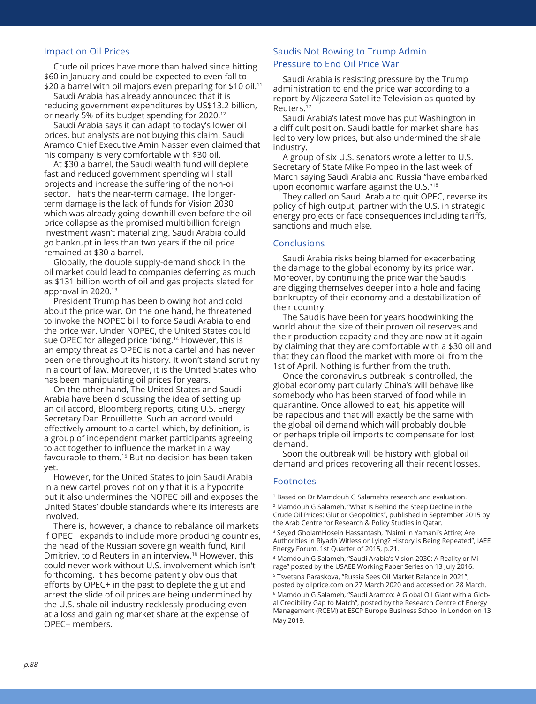#### Impact on Oil Prices

Crude oil prices have more than halved since hitting \$60 in January and could be expected to even fall to \$20 a barrel with oil majors even preparing for \$10 oil.<sup>11</sup>

Saudi Arabia has already announced that it is reducing government expenditures by US\$13.2 billion, or nearly 5% of its budget spending for 2020.12

Saudi Arabia says it can adapt to today's lower oil prices, but analysts are not buying this claim. Saudi Aramco Chief Executive Amin Nasser even claimed that his company is very comfortable with \$30 oil.

At \$30 a barrel, the Saudi wealth fund will deplete fast and reduced government spending will stall projects and increase the suffering of the non-oil sector. That's the near-term damage. The longerterm damage is the lack of funds for Vision 2030 which was already going downhill even before the oil price collapse as the promised multibillion foreign investment wasn't materializing. Saudi Arabia could go bankrupt in less than two years if the oil price remained at \$30 a barrel.

Globally, the double supply-demand shock in the oil market could lead to companies deferring as much as \$131 billion worth of oil and gas projects slated for approval in 2020.<sup>13</sup>

President Trump has been blowing hot and cold about the price war. On the one hand, he threatened to invoke the NOPEC bill to force Saudi Arabia to end the price war. Under NOPEC, the United States could sue OPEC for alleged price fixing.<sup>14</sup> However, this is an empty threat as OPEC is not a cartel and has never been one throughout its history. It won't stand scrutiny in a court of law. Moreover, it is the United States who has been manipulating oil prices for years.

On the other hand, The United States and Saudi Arabia have been discussing the idea of setting up an oil accord, Bloomberg reports, citing U.S. Energy Secretary Dan Brouillette. Such an accord would effectively amount to a cartel, which, by definition, is a group of independent market participants agreeing to act together to influence the market in a way favourable to them.15 But no decision has been taken yet.

However, for the United States to join Saudi Arabia in a new cartel proves not only that it is a hypocrite but it also undermines the NOPEC bill and exposes the United States' double standards where its interests are involved.

There is, however, a chance to rebalance oil markets if OPEC+ expands to include more producing countries, the head of the Russian sovereign wealth fund, Kiril Dmitriev, told Reuters in an interview.16 However, this could never work without U.S. involvement which isn't forthcoming. It has become patently obvious that efforts by OPEC+ in the past to deplete the glut and arrest the slide of oil prices are being undermined by the U.S. shale oil industry recklessly producing even at a loss and gaining market share at the expense of OPEC+ members.

## Saudis Not Bowing to Trump Admin Pressure to End Oil Price War

Saudi Arabia is resisting pressure by the Trump administration to end the price war according to a report by Aljazeera Satellite Television as quoted by Reuters.<sup>17</sup>

Saudi Arabia's latest move has put Washington in a difficult position. Saudi battle for market share has led to very low prices, but also undermined the shale industry.

A group of six U.S. senators wrote a letter to U.S. Secretary of State Mike Pompeo in the last week of March saying Saudi Arabia and Russia "have embarked upon economic warfare against the U.S."18

They called on Saudi Arabia to quit OPEC, reverse its policy of high output, partner with the U.S. in strategic energy projects or face consequences including tariffs, sanctions and much else.

#### **Conclusions**

Saudi Arabia risks being blamed for exacerbating the damage to the global economy by its price war. Moreover, by continuing the price war the Saudis are digging themselves deeper into a hole and facing bankruptcy of their economy and a destabilization of their country.

The Saudis have been for years hoodwinking the world about the size of their proven oil reserves and their production capacity and they are now at it again by claiming that they are comfortable with a \$30 oil and that they can flood the market with more oil from the 1st of April. Nothing is further from the truth.

Once the coronavirus outbreak is controlled, the global economy particularly China's will behave like somebody who has been starved of food while in quarantine. Once allowed to eat, his appetite will be rapacious and that will exactly be the same with the global oil demand which will probably double or perhaps triple oil imports to compensate for lost demand.

Soon the outbreak will be history with global oil demand and prices recovering all their recent losses.

#### Footnotes

<sup>1</sup> Based on Dr Mamdouh G Salameh's research and evaluation. 2 Mamdouh G Salameh, "What Is Behind the Steep Decline in the Crude Oil Prices: Glut or Geopolitics", published in September 2015 by the Arab Centre for Research & Policy Studies in Qatar.

<sup>3</sup> Seyed GholamHosein Hassantash, "Naimi in Yamani's Attire; Are Authorities in Riyadh Witless or Lying? History is Being Repeated", IAEE Energy Forum, 1st Quarter of 2015, p.21.

4 Mamdouh G Salameh, "Saudi Arabia's Vision 2030: A Reality or Mirage" posted by the USAEE Working Paper Series on 13 July 2016.

<sup>5</sup> Tsvetana Paraskova, "Russia Sees Oil Market Balance in 2021", posted by oilprice.com on 27 March 2020 and accessed on 28 March. 6 Mamdouh G Salameh, "Saudi Aramco: A Global Oil Giant with a Global Credibility Gap to Match", posted by the Research Centre of Energy Management (RCEM) at ESCP Europe Business School in London on 13 May 2019.